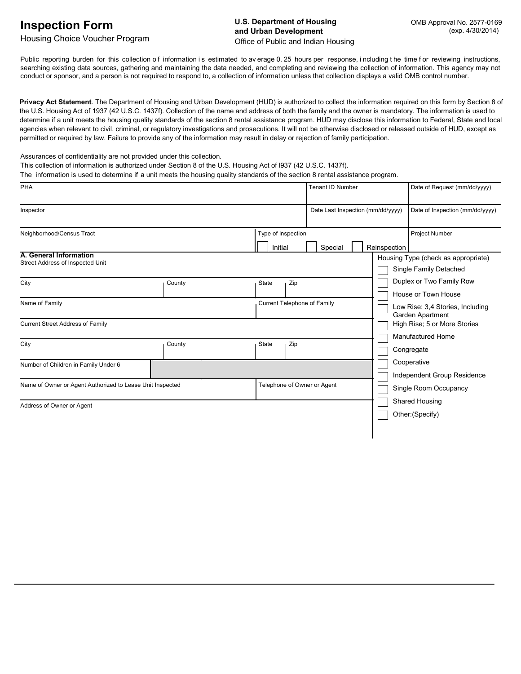#### **Inspection Form U.S. Department of Housing** OMB Approval No. 2577-0169 **Inspection Form COMB (exp. 4/30/2014**) and Urban Development Housing Choice Voucher Program **Office of Public and Indian Housing**

Public reporting burden for this collection of information is estimated to av erage 0.25 hours per response, i ncluding t he time f or reviewing instructions, searching existing data sources, gathering and maintaining the data needed, and completing and reviewing the collection of information. This agency may not conduct or sponsor, and a person is not required to respond to, a collection of information unless that collection displays a valid OMB control number.

**Privacy Act Statement**. The Department of Housing and Urban Development (HUD) is authorized to collect the information required on this form by Section 8 of the U.S. Housing Act of 1937 (42 U.S.C. 1437f). Collection of the name and address of both the family and the owner is mandatory. The information is used to determine if a unit meets the housing quality standards of the section 8 rental assistance program. HUD may disclose this information to Federal, State and local agencies when relevant to civil, criminal, or regulatory investigations and prosecutions. It will not be otherwise disclosed or released outside of HUD, except as permitted or required by law. Failure to provide any of the information may result in delay or rejection of family participation.

Assurances of confidentiality are not provided under this collection.

This collection of information is authorized under Section 8 of the U.S. Housing Act of l937 (42 U.S.C. 1437f).

The information is used to determine if a unit meets the housing quality standards of the section 8 rental assistance program.

| PHA                                                        |        | Tenant ID Number                  |                             | Date of Request (mm/dd/yyyy)                         |                                                               |
|------------------------------------------------------------|--------|-----------------------------------|-----------------------------|------------------------------------------------------|---------------------------------------------------------------|
| Inspector                                                  |        | Date Last Inspection (mm/dd/yyyy) |                             | Date of Inspection (mm/dd/yyyy)                      |                                                               |
| Neighborhood/Census Tract                                  |        | Type of Inspection<br>Initial     | Special                     | Reinspection                                         | <b>Project Number</b>                                         |
| A. General Information<br>Street Address of Inspected Unit |        |                                   |                             |                                                      | Housing Type (check as appropriate)<br>Single Family Detached |
| City                                                       | County | <b>State</b><br>Zip               |                             |                                                      | Duplex or Two Family Row<br>House or Town House               |
| Name of Family                                             |        | Current Telephone of Family       |                             | Low Rise: 3,4 Stories, Including<br>Garden Apartment |                                                               |
| <b>Current Street Address of Family</b>                    |        |                                   |                             |                                                      | High Rise; 5 or More Stories<br>Manufactured Home             |
| City                                                       | County | State<br>Zip                      |                             |                                                      | Congregate                                                    |
| Number of Children in Family Under 6                       |        |                                   |                             |                                                      | Cooperative<br>Independent Group Residence                    |
| Name of Owner or Agent Authorized to Lease Unit Inspected  |        |                                   | Telephone of Owner or Agent |                                                      | Single Room Occupancy                                         |
| Address of Owner or Agent                                  |        |                                   |                             |                                                      | Shared Housing<br>Other: (Specify)                            |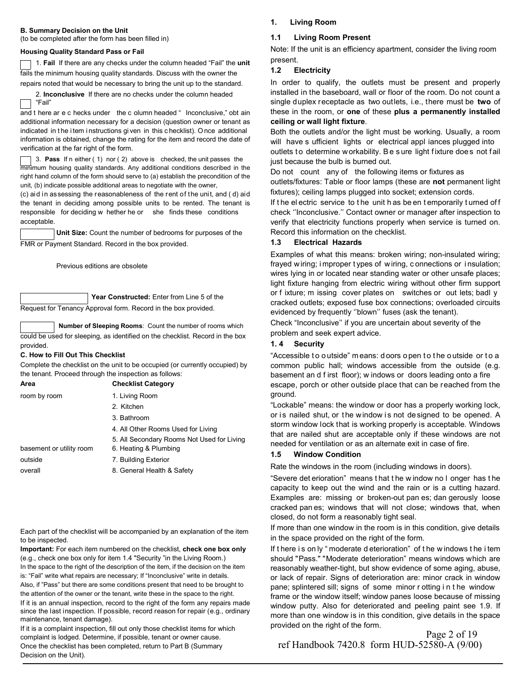#### **B. Summary Decision on the Unit**

(to be completed after the form has been filled in)

#### **Housing Quality Standard Pass or Fail**

1. **Fail** If there are any checks under the column headed "Fail" the **unit** fails the minimum housing quality standards. Discuss with the owner the repairs noted that would be necessary to bring the unit up to the standard.

2. **Inconclusive** If there are no checks under the column headed "Fail"

and t here ar e c hecks under the c olumn headed "Inconclusive," obt ain additional information necessary for a decision (question owner or tenant as indicated in t he i tem i nstructions gi ven in this c hecklist). O nce additional information is obtained, change the rating for the item and record the date of verification at the far right of the form.

3. **Pass** If n either ( 1) nor ( 2) above is checked, the unit passes the minimum housing quality standards. Any additional conditions described in the right hand column of the form should serve to (a) establish the precondition of the unit, (b) indicate possible additional areas to negotiate with the owner,

(c) aid in assessing the reasonableness of the rent of the unit, and ( d) aid the tenant in deciding among possible units to be rented. The tenant is responsible for deciding w hether he or she finds these conditions acceptable.

**Unit Size:** Count the number of bedrooms for purposes of the FMR or Payment Standard. Record in the box provided.

Previous editions are obsolete

**Year Constructed:** Enter from Line 5 of the Request for Tenancy Approval form. Record in the box provided.

**Number of Sleeping Rooms**: Count the number of rooms which could be used for sleeping, as identified on the checklist. Record in the box provided.

#### **C. How to Fill Out This Checklist**

Complete the checklist on the unit to be occupied (or currently occupied) by the tenant. Proceed through the inspection as follows:

| Area                     | <b>Checklist Category</b>                                           |
|--------------------------|---------------------------------------------------------------------|
| room by room             | 1. Living Room                                                      |
|                          | 2. Kitchen                                                          |
|                          | 3. Bathroom                                                         |
|                          | 4. All Other Rooms Used for Living                                  |
| basement or utility room | 5. All Secondary Rooms Not Used for Living<br>6. Heating & Plumbing |
| outside                  | 7. Building Exterior                                                |
| overall                  | 8. General Health & Safety                                          |
|                          |                                                                     |

Each part of the checklist will be accompanied by an explanation of the item to be inspected.

**Important:** For each item numbered on the checklist, **check one box only**  (e.g., check one box only for item 1.4 "Security "in the Living Room.) In the space to the right of the description of the item, if the decision on the item is: "Fail" write what repairs are necessary; If "Inconclusive" write in details. Also, if "Pass" but there are some conditions present that need to be brought to the attention of the owner or the tenant, write these in the space to the right. If it is an annual inspection, record to the right of the form any repairs made since the last inspection. If possible, record reason for repair (e.g., ordinary maintenance, tenant damage).

If it is a complaint inspection, fill out only those checklist items for which complaint is lodged. Determine, if possible, tenant or owner cause. Once the checklist has been completed, return to Part B (Summary Decision on the Unit).

### **1. Living Room**

### **1.1 Living Room Present**

Note: If the unit is an efficiency apartment, consider the living room present.

## **1.2 Electricity**

In order to qualify, the outlets must be present and properly installed in the baseboard, wall or floor of the room. Do not count a single duplex receptacle as two outlets, i.e., there must be **two** of these in the room, or **one** of these **plus a permanently installed ceiling or wall light fixture**.

Both the outlets and/or the light must be working. Usually, a room will have s ufficient lights or electrical appl iances plugged into outlets to determine workability. Be sure light fixture does not fail just because the bulb is burned out.

Do not count any of the following items or fixtures as outlets/fixtures: Table or floor lamps (these are **not** permanent light fixtures); ceiling lamps plugged into socket; extension cords.

If the electric service to the unit has be en temporarily turned of f check ''Inconclusive.'' Contact owner or manager after inspection to verify that electricity functions properly when service is turned on. Record this information on the checklist.

## **1.3 Electrical Hazards**

Examples of what this means: broken wiring; non-insulated wiring; frayed w iring; i mproper t ypes of w iring, c onnections or i nsulation; wires lying in or located near standing water or other unsafe places; light fixture hanging from electric wiring without other firm support or f ixture; m issing cover plates on switches or out lets; badl y cracked outlets; exposed fuse box connections; overloaded circuits evidenced by frequently ''blown'' fuses (ask the tenant).

Check "Inconclusive'' if you are uncertain about severity of the problem and seek expert advice.

#### **1. 4 Security**

"Accessible to outside" means: doors open to the outside or to a common public hall; windows accessible from the outside (e.g. basement an d f irst floor); w indows or doors leading onto a fire escape, porch or other outside place that can be reached from the ground.

"Lockable" means: the window or door has a properly working lock, or is nailed shut, or the window is not designed to be opened. A storm window lock that is working properly is acceptable. Windows that are nailed shut are acceptable only if these windows are not needed for ventilation or as an alternate exit in case of fire.

#### **1.5 Window Condition**

Rate the windows in the room (including windows in doors).

"Severe det erioration" means t hat t he w indow no l onger has t he capacity to keep out the wind and the rain or is a cutting hazard. Examples are: missing or broken-out pan es; dan gerously loose cracked pan es; windows that will not close; windows that, when closed, do not form a reasonably tight seal.

If more than one window in the room is in this condition, give details in the space provided on the right of the form.

If t here i s on ly " moderate d eterioration" of t he w indows t he i tem should "Pass." "Moderate deterioration" means windows which are reasonably weather-tight, but show evidence of some aging, abuse, or lack of repair. Signs of deterioration are: minor crack in window pane; splintered sill; signs of some minor r otting i n t he window frame or the window itself; window panes loose because of missing window putty. Also for deteriorated and peeling paint see 1.9. If more than one window is in this condition, give details in the space provided on the right of the form.

Page 2 of 19 ref Handbook 7420.8 form HUD-52580-A (9/00)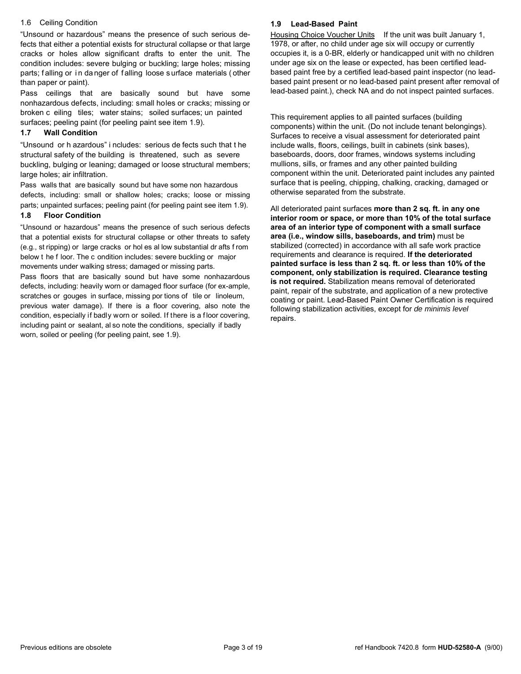#### 1.6 Ceiling Condition

"Unsound or hazardous" means the presence of such serious defects that either a potential exists for structural collapse or that large cracks or holes allow significant drafts to enter the unit. The condition includes: severe bulging or buckling; large holes; missing parts; falling or in danger of falling loose surface materials (other than paper or paint).

Pass ceilings that are basically sound but have some nonhazardous defects, including: small holes or cracks; missing or broken c eiling tiles; water stains; soiled surfaces; un painted surfaces; peeling paint (for peeling paint see item 1.9).

#### **1.7 Wall Condition**

"Unsound or h azardous" i ncludes: serious de fects such that t he structural safety of the building is threatened, such as severe buckling, bulging or leaning; damaged or loose structural members; large holes; air infiltration.

Pass walls that are basically sound but have some non hazardous defects, including: small or shallow holes; cracks; loose or missing parts; unpainted surfaces; peeling paint (for peeling paint see item 1.9).

## **1.8 Floor Condition**

"Unsound or hazardous" means the presence of such serious defects that a potential exists for structural collapse or other threats to safety (e.g., st ripping) or large cracks or hol es al low substantial dr afts f rom below t he f loor. The c ondition includes: severe buckling or major movements under walking stress; damaged or missing parts. Pass floors that are basically sound but have some nonhazardous defects, including: heavily worn or damaged floor surface (for ex-ample, scratches or gouges in surface, missing por tions of tile or linoleum, previous water damage). If there is a floor covering, also note the condition, especially if badly worn or soiled. If there is a f loor covering, including paint or sealant, al so note the conditions, specially if badly worn, soiled or peeling (for peeling paint, see 1.9).

## **1.9 Lead-Based Paint**

Housing Choice Voucher Units If the unit was built January 1, 1978, or after, no child under age six will occupy or currently occupies it, is a 0-BR, elderly or handicapped unit with no children under age six on the lease or expected, has been certified leadbased paint free by a certified lead-based paint inspector (no leadbased paint present or no lead-based paint present after removal of lead-based paint.), check NA and do not inspect painted surfaces.

This requirement applies to all painted surfaces (building components) within the unit. (Do not include tenant belongings). Surfaces to receive a visual assessment for deteriorated paint include walls, floors, ceilings, built in cabinets (sink bases), baseboards, doors, door frames, windows systems including mullions, sills, or frames and any other painted building component within the unit. Deteriorated paint includes any painted surface that is peeling, chipping, chalking, cracking, damaged or otherwise separated from the substrate.

All deteriorated paint surfaces **more than 2 sq. ft. in any one interior room or space, or more than 10% of the total surface area of an interior type of component with a small surface area (i.e., window sills, baseboards, and trim)** must be stabilized (corrected) in accordance with all safe work practice requirements and clearance is required. **If the deteriorated painted surface is less than 2 sq. ft. or less than 10% of the component, only stabilization is required. Clearance testing is not required.** Stabilization means removal of deteriorated paint, repair of the substrate, and application of a new protective coating or paint. Lead-Based Paint Owner Certification is required following stabilization activities, except for *de minimis level*  repairs.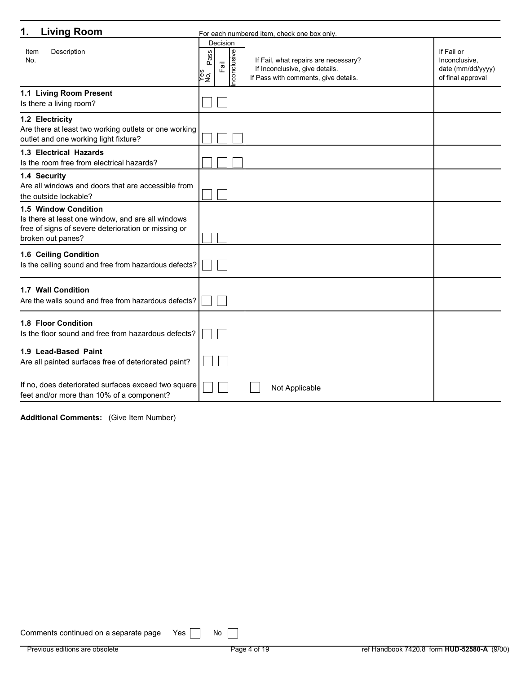| <b>Living Room</b><br>1.                                                                                                                              |                 |                  |             | For each numbered item, check one box only.                                                                    |                                                                       |
|-------------------------------------------------------------------------------------------------------------------------------------------------------|-----------------|------------------|-------------|----------------------------------------------------------------------------------------------------------------|-----------------------------------------------------------------------|
| Description<br>Item<br>No.                                                                                                                            | Pass<br>eğ<br>¥ | Decision<br>Fail | nconclusive | If Fail, what repairs are necessary?<br>If Inconclusive, give details.<br>If Pass with comments, give details. | If Fail or<br>Inconclusive,<br>date (mm/dd/yyyy)<br>of final approval |
| 1.1 Living Room Present<br>Is there a living room?                                                                                                    |                 |                  |             |                                                                                                                |                                                                       |
| 1.2 Electricity<br>Are there at least two working outlets or one working<br>outlet and one working light fixture?                                     |                 |                  |             |                                                                                                                |                                                                       |
| 1.3 Electrical Hazards<br>Is the room free from electrical hazards?                                                                                   |                 |                  |             |                                                                                                                |                                                                       |
| 1.4 Security<br>Are all windows and doors that are accessible from<br>the outside lockable?                                                           |                 |                  |             |                                                                                                                |                                                                       |
| 1.5 Window Condition<br>Is there at least one window, and are all windows<br>free of signs of severe deterioration or missing or<br>broken out panes? |                 |                  |             |                                                                                                                |                                                                       |
| 1.6 Ceiling Condition<br>Is the ceiling sound and free from hazardous defects?                                                                        |                 |                  |             |                                                                                                                |                                                                       |
| 1.7 Wall Condition<br>Are the walls sound and free from hazardous defects?                                                                            |                 |                  |             |                                                                                                                |                                                                       |
| 1.8 Floor Condition<br>Is the floor sound and free from hazardous defects?                                                                            |                 |                  |             |                                                                                                                |                                                                       |
| 1.9 Lead-Based Paint<br>Are all painted surfaces free of deteriorated paint?                                                                          |                 |                  |             |                                                                                                                |                                                                       |
| If no, does deteriorated surfaces exceed two square<br>feet and/or more than 10% of a component?                                                      |                 |                  |             | Not Applicable                                                                                                 |                                                                       |

**Additional Comments:** (Give Item Number)

Comments continued on a separate page  $Yes$  No  $\Box$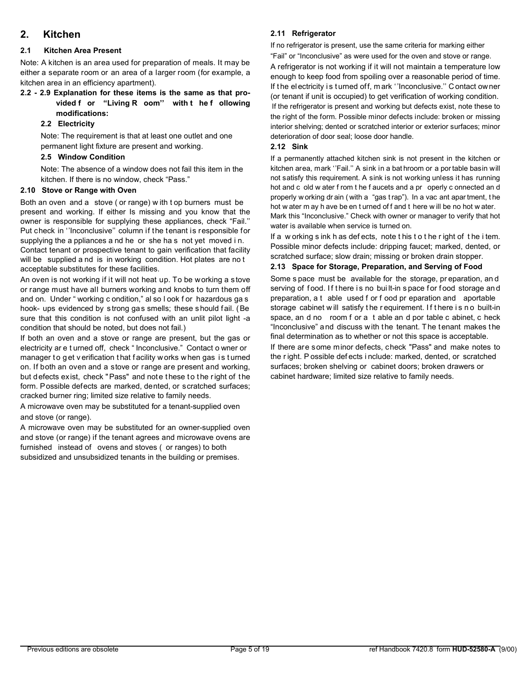# **2. Kitchen**

# **2.1 Kitchen Area Present**

Note: A kitchen is an area used for preparation of meals. It may be either a separate room or an area of a larger room (for example, a kitchen area in an efficiency apartment).

## **2.2 - 2.9 Explanation for these items is the same as that pro**vided f or "Living R oom" with t he f ollowing **modifications:**

# **2.2 Electricity**

Note: The requirement is that at least one outlet and one permanent light fixture are present and working.

# **2.5 Window Condition**

Note: The absence of a window does not fail this item in the kitchen. If there is no window, check "Pass."

# **2.10 Stove or Range with Oven**

Both an oven and a stove ( or range) w ith t op burners must be present and working. If either Is missing and you know that the owner is responsible for supplying these appliances, check "Fail.'' Put check in ''Inconclusive'' column if the tenant is responsible for supplying the a ppliances a nd he or she ha s not yet moved i n. Contact tenant or prospective tenant to gain verification that facility will be supplied a nd is in working condition. Hot plates are no t acceptable substitutes for these facilities.

An oven is not working if it will not heat up. To be working a stove or range must have all burners working and knobs to turn them off and on. Under " working c ondition," al so l ook f or hazardous ga s hook- ups evidenced by s trong gas smells; these should fail. ( Be sure that this condition is not confused with an unlit pilot light -a condition that should be noted, but does not fail.)

If both an oven and a stove or range are present, but the gas or electricity ar e t urned off, check " Inconclusive." Contact o wner or manager to get v erification that f acility w orks when gas is turned on. If both an oven and a stove or range are present and working, but defects exist, check "Pass" and note these to the right of the form. Possible defects are marked, dented, or scratched surfaces; cracked burner ring; limited size relative to family needs.

A microwave oven may be substituted for a tenant-supplied oven and stove (or range).

A microwave oven may be substituted for an owner-supplied oven and stove (or range) if the tenant agrees and microwave ovens are furnished instead of ovens and stoves ( or ranges) to both subsidized and unsubsidized tenants in the building or premises.

# **2.11 Refrigerator**

If no refrigerator is present, use the same criteria for marking either

"Fail" or "Inconclusive" as were used for the oven and stove or range. A refrigerator is not working if it will not maintain a temperature low enough to keep food from spoiling over a reasonable period of time. If the electricity is turned off, mark "Inconclusive." Contact owner (or tenant if unit is occupied) to get verification of working condition. If the refrigerator is present and working but defects exist, note these to the right of the form. Possible minor defects include: broken or missing interior shelving; dented or scratched interior or exterior surfaces; minor deterioration of door seal; loose door handle.

## **2.12 Sink**

If a permanently attached kitchen sink is not present in the kitchen or kitchen area, mark ''Fail.'' A sink in a bat hroom or a por table basin will not satisfy this requirement. A sink is not working unless it has running hot and c old w ater f rom t he f aucets and a pr operly c onnected an d properly w orking dr ain ( with a "gas t rap"). In a vac ant apar tment, t he hot w ater m ay h ave be en t urned of f and t here w ill be no hot w ater. Mark this "Inconclusive." Check with owner or manager to verify that hot water is available when service is turned on.

If a w orking s ink h as def ects, note t his t o t he r ight of t he i tem. Possible minor defects include: dripping faucet; marked, dented, or scratched surface; slow drain; missing or broken drain stopper.

## **2.13 Space for Storage, Preparation, and Serving of Food**

Some s pace must be available for the storage, pr eparation, an d serving of food. If there is no built-in space for food storage and preparation, a t able used f or f ood pr eparation and aportable storage cabinet will satisfy the r equirement. If there is no built-in space, an d no room f or a t able an d por table c abinet, c heck "Inconclusive" and discuss with the tenant. The tenant makes t he final determination as to whether or not this space is acceptable. If there are some minor defects, check "Pass" and make notes to

the r ight. P ossible def ects i nclude: marked, dented, or scratched surfaces; broken shelving or cabinet doors; broken drawers or cabinet hardware; limited size relative to family needs.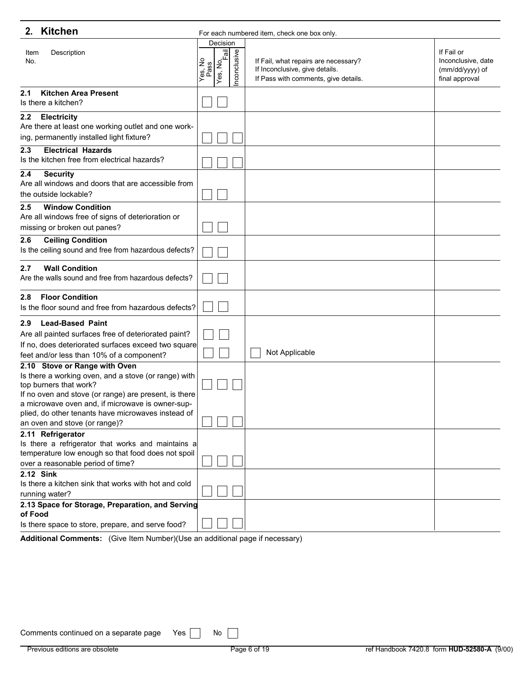| <b>Kitchen</b>                                                                                                                                                                                                                                                                     | For each numbered item, check one box only.                                                                                                                                                     |                                                                       |
|------------------------------------------------------------------------------------------------------------------------------------------------------------------------------------------------------------------------------------------------------------------------------------|-------------------------------------------------------------------------------------------------------------------------------------------------------------------------------------------------|-----------------------------------------------------------------------|
| Description<br>Item<br>No.                                                                                                                                                                                                                                                         | Decision<br>nconclusive<br>$Yes, No, \nightharpoonup$ Fail<br>Yes, No<br>Pass<br>If Fail, what repairs are necessary?<br>If Inconclusive, give details.<br>If Pass with comments, give details. | If Fail or<br>Inconclusive, date<br>(mm/dd/yyyy) of<br>final approval |
| <b>Kitchen Area Present</b><br>2.1<br>Is there a kitchen?                                                                                                                                                                                                                          |                                                                                                                                                                                                 |                                                                       |
| <b>Electricity</b><br>$2.2\,$<br>Are there at least one working outlet and one work-<br>ing, permanently installed light fixture?                                                                                                                                                  |                                                                                                                                                                                                 |                                                                       |
| <b>Electrical Hazards</b><br>2.3<br>Is the kitchen free from electrical hazards?                                                                                                                                                                                                   |                                                                                                                                                                                                 |                                                                       |
| 2.4<br><b>Security</b><br>Are all windows and doors that are accessible from<br>the outside lockable?                                                                                                                                                                              |                                                                                                                                                                                                 |                                                                       |
| <b>Window Condition</b><br>$2.5\,$<br>Are all windows free of signs of deterioration or<br>missing or broken out panes?                                                                                                                                                            |                                                                                                                                                                                                 |                                                                       |
| <b>Ceiling Condition</b><br>2.6<br>Is the ceiling sound and free from hazardous defects?                                                                                                                                                                                           |                                                                                                                                                                                                 |                                                                       |
| <b>Wall Condition</b><br>2.7<br>Are the walls sound and free from hazardous defects?                                                                                                                                                                                               |                                                                                                                                                                                                 |                                                                       |
| <b>Floor Condition</b><br>2.8<br>Is the floor sound and free from hazardous defects?                                                                                                                                                                                               |                                                                                                                                                                                                 |                                                                       |
| <b>Lead-Based Paint</b><br>$2.9^{\circ}$<br>Are all painted surfaces free of deteriorated paint?<br>If no, does deteriorated surfaces exceed two square<br>feet and/or less than 10% of a component?                                                                               | Not Applicable                                                                                                                                                                                  |                                                                       |
| 2.10 Stove or Range with Oven<br>Is there a working oven, and a stove (or range) with<br>top burners that work?<br>If no oven and stove (or range) are present, is there<br>a microwave oven and, if microwave is owner-sup-<br>plied, do other tenants have microwaves instead of |                                                                                                                                                                                                 |                                                                       |
| an oven and stove (or range)?<br>2.11 Refrigerator<br>Is there a refrigerator that works and maintains a<br>temperature low enough so that food does not spoil<br>over a reasonable period of time?                                                                                |                                                                                                                                                                                                 |                                                                       |
| 2.12 Sink<br>Is there a kitchen sink that works with hot and cold<br>running water?                                                                                                                                                                                                |                                                                                                                                                                                                 |                                                                       |
| 2.13 Space for Storage, Preparation, and Serving<br>of Food                                                                                                                                                                                                                        |                                                                                                                                                                                                 |                                                                       |
| Is there space to store, prepare, and serve food?                                                                                                                                                                                                                                  |                                                                                                                                                                                                 |                                                                       |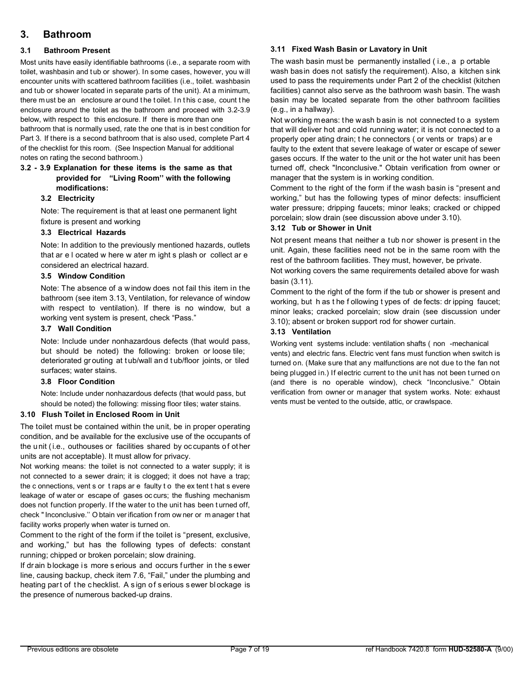# **3. Bathroom**

# **3.1 Bathroom Present**

Most units have easily identifiable bathrooms (i.e., a separate room with toilet, washbasin and tub or shower). In some cases, however, you will encounter units with scattered bathroom facilities (i.e., toilet. washbasin and tub or shower located in separate parts of the unit). At a minimum, there m ust be an enclosure ar ound t he t oilet. I n t his c ase, count t he enclosure around the toilet as the bathroom and proceed with 3.2-3.9 below, with respect to this enclosure. If there is more than one bathroom that is normally used, rate the one that is in best condition for Part 3. If there is a second bathroom that is also used, complete Part 4 of the checklist for this room. (See Inspection Manual for additional notes on rating the second bathroom.)

## **3.2 - 3.9 Explanation for these items is the same as that provided for "Living Room'' with the following modifications:**

# **3.2 Electricity**

Note: The requirement is that at least one permanent light fixture is present and working

# **3.3 Electrical Hazards**

Note: In addition to the previously mentioned hazards, outlets that ar e l ocated w here w ater m ight s plash or collect ar e considered an electrical hazard.

## **3.5 Window Condition**

Note: The absence of a w indow does not fail this item in the bathroom (see item 3.13, Ventilation, for relevance of window with respect to ventilation). If there is no window, but a working vent system is present, check "Pass."

## **3.7 Wall Condition**

Note: Include under nonhazardous defects (that would pass, but should be noted) the following: broken or loose tile; deteriorated gr outing at t ub/wall an d t ub/floor joints, or tiled surfaces; water stains.

## **3.8 Floor Condition**

Note: Include under nonhazardous defects (that would pass, but should be noted) the following: missing floor tiles; water stains.

## **3.10 Flush Toilet in Enclosed Room in Unit**

The toilet must be contained within the unit, be in proper operating condition, and be available for the exclusive use of the occupants of the unit ( i.e., outhouses or facilities shared by occupants of ot her units are not acceptable). It must allow for privacy.

Not working means: the toilet is not connected to a water supply; it is not connected to a sewer drain; it is clogged; it does not have a trap; the c onnections, vent s or t raps ar e faulty t o the ex tent t hat s evere leakage of w ater or escape of gases oc curs; the flushing mechanism does not function properly. If the water to the unit has been t urned off, check " Inconclusive.'' O btain ver ification f rom ow ner or m anager t hat facility works properly when water is turned on.

Comment to the right of the form if the toilet is "present, exclusive, and working," but has the following types of defects: constant running; chipped or broken porcelain; slow draining.

If dr ain blockage is more s erious and occurs f urther in the s ewer line, causing backup, check item 7.6, "Fail," under the plumbing and heating part of the checklist. A sign of serious sewer blockage is the presence of numerous backed-up drains.

## **3.11 Fixed Wash Basin or Lavatory in Unit**

The wash basin must be permanently installed ( i.e., a p ortable wash basin does not satisfy the requirement). Also, a kitchen sink used to pass the requirements under Part 2 of the checklist (kitchen facilities) cannot also serve as the bathroom wash basin. The wash basin may be located separate from the other bathroom facilities (e.g., in a hallway).

Not working means: the wash basin is not connected to a system that will deliver hot and cold running water; it is not connected to a properly oper ating drain; t he connectors ( or vents or traps) ar e faulty to the extent that severe leakage of water or escape of sewer gases occurs. If the water to the unit or the hot water unit has been turned off, check "Inconclusive." Obtain verification from owner or manager that the system is in working condition.

Comment to the right of the form if the wash basin is "present and working," but has the following types of minor defects: insufficient water pressure; dripping faucets; minor leaks; cracked or chipped porcelain; slow drain (see discussion above under 3.10).

## **3.12 Tub or Shower in Unit**

Not present means that neither a tub nor shower is present in the unit. Again, these facilities need not be in the same room with the rest of the bathroom facilities. They must, however, be private.

Not working covers the same requirements detailed above for wash basin (3.11).

Comment to the right of the form if the tub or shower is present and working, but h as t he f ollowing t ypes of de fects: dr ipping faucet; minor leaks; cracked porcelain; slow drain (see discussion under 3.10); absent or broken support rod for shower curtain.

## **3.13 Ventilation**

Working vent systems include: ventilation shafts ( non -mechanical vents) and electric fans. Electric vent fans must function when switch is turned on. (Make sure that any malfunctions are not due to the fan not being plugged in.) If electric current to the unit has not been t urned on (and there is no operable window), check "Inconclusive." Obtain verification from owner or m anager that system works. Note: exhaust vents must be vented to the outside, attic, or crawlspace.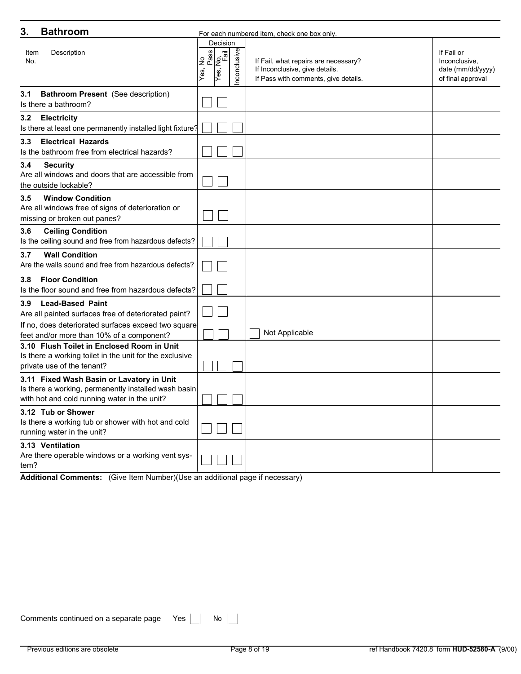| 3.<br><b>Bathroom</b>                                                                                                                                                                      |                                                                      | For each numbered item, check one box only.                                                                    |                                                                       |
|--------------------------------------------------------------------------------------------------------------------------------------------------------------------------------------------|----------------------------------------------------------------------|----------------------------------------------------------------------------------------------------------------|-----------------------------------------------------------------------|
| Description<br>Item<br>No.                                                                                                                                                                 | Decision<br>nconclusive<br>No<br>Pass<br>No,<br>Fail<br>Yes,<br>Yes, | If Fail, what repairs are necessary?<br>If Inconclusive, give details.<br>If Pass with comments, give details. | If Fail or<br>Inconclusive,<br>date (mm/dd/yyyy)<br>of final approval |
| 3.1<br>Bathroom Present (See description)<br>Is there a bathroom?                                                                                                                          |                                                                      |                                                                                                                |                                                                       |
| <b>Electricity</b><br>3.2<br>Is there at least one permanently installed light fixture?                                                                                                    |                                                                      |                                                                                                                |                                                                       |
| <b>Electrical Hazards</b><br>3.3<br>Is the bathroom free from electrical hazards?                                                                                                          |                                                                      |                                                                                                                |                                                                       |
| 3.4<br><b>Security</b><br>Are all windows and doors that are accessible from<br>the outside lockable?                                                                                      |                                                                      |                                                                                                                |                                                                       |
| <b>Window Condition</b><br>3.5<br>Are all windows free of signs of deterioration or<br>missing or broken out panes?                                                                        |                                                                      |                                                                                                                |                                                                       |
| <b>Ceiling Condition</b><br>3.6<br>Is the ceiling sound and free from hazardous defects?                                                                                                   |                                                                      |                                                                                                                |                                                                       |
| <b>Wall Condition</b><br>3.7<br>Are the walls sound and free from hazardous defects?                                                                                                       |                                                                      |                                                                                                                |                                                                       |
| <b>Floor Condition</b><br>3.8<br>ls the floor sound and free from hazardous defects?                                                                                                       |                                                                      |                                                                                                                |                                                                       |
| <b>Lead-Based Paint</b><br>3.9<br>Are all painted surfaces free of deteriorated paint?<br>If no, does deteriorated surfaces exceed two square<br>feet and/or more than 10% of a component? |                                                                      | Not Applicable                                                                                                 |                                                                       |
| 3.10 Flush Toilet in Enclosed Room in Unit<br>Is there a working toilet in the unit for the exclusive<br>private use of the tenant?                                                        |                                                                      |                                                                                                                |                                                                       |
| 3.11 Fixed Wash Basin or Lavatory in Unit<br>Is there a working, permanently installed wash basin<br>with hot and cold running water in the unit?                                          |                                                                      |                                                                                                                |                                                                       |
| 3.12 Tub or Shower<br>Is there a working tub or shower with hot and cold<br>running water in the unit?                                                                                     |                                                                      |                                                                                                                |                                                                       |
| 3.13 Ventilation<br>Are there operable windows or a working vent sys-<br>tem?                                                                                                              |                                                                      |                                                                                                                |                                                                       |

| Comments continued on a separate page Yes $\Box$ No $\Box$ |  |
|------------------------------------------------------------|--|
|                                                            |  |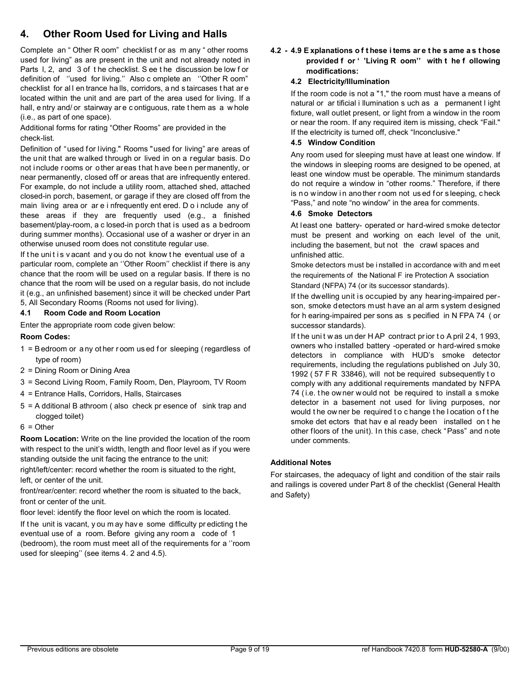# **4. Other Room Used for Living and Halls**

Complete an " Other R oom" checklist f or as m any " other rooms used for living" as are present in the unit and not already noted in Parts l, 2, and 3 of t he checklist. S ee t he discussion be low f or definition of ''used for living.'' Also c omplete an ''Other R oom" checklist for all en trance halls, corridors, and s taircases that are located within the unit and are part of the area used for living. If a hall, e ntry and/ or stairway ar e c ontiguous, rate t hem as a w hole (i.e., as part of one space).

Additional forms for rating "Other Rooms" are provided in the check-list.

Definition of "used for living." Rooms "used for living" are areas of the unit that are walked through or lived in on a regular basis. Do not i nclude r ooms or other areas that have been permanently, or near permanently, closed off or areas that are infrequently entered. For example, do not include a utility room, attached shed, attached closed-in porch, basement, or garage if they are closed off from the main living area or ar e i nfrequently ent ered. D o i nclude any of these areas if they are frequently used (e.g., a finished basement/play-room, a c losed-in porch that is used as a bedroom during summer months). Occasional use of a washer or dryer in an otherwise unused room does not constitute regular use.

If the unit is v acant and y ou do not know the eventual use of a particular room, complete an ''Other Room'' checklist if there is any chance that the room will be used on a regular basis. If there is no chance that the room will be used on a regular basis, do not include it (e.g., an unfinished basement) since it will be checked under Part 5, All Secondary Rooms (Rooms not used for living).

## **4.1 Room Code and Room Location**

Enter the appropriate room code given below:

## **Room Codes:**

- 1 = B edroom or a ny ot her r oom us ed f or sleeping ( regardless of type of room)
- 2 = Dining Room or Dining Area
- 3 = Second Living Room, Family Room, Den, Playroom, TV Room
- 4 = Entrance Halls, Corridors, Halls, Staircases
- 5 = A dditional B athroom ( also check pr esence of sink trap and clogged toilet)
- $6 =$ Other

**Room Location:** Write on the line provided the location of the room with respect to the unit's width, length and floor level as if you were standing outside the unit facing the entrance to the unit:

right/left/center: record whether the room is situated to the right, left, or center of the unit.

front/rear/center: record whether the room is situated to the back, front or center of the unit.

floor level: identify the floor level on which the room is located.

If t he unit is vacant, y ou m ay hav e some difficulty pr edicting t he eventual use of a room. Before giving any room a code of 1 (bedroom), the room must meet all of the requirements for a ''room used for sleeping'' (see items 4. 2 and 4.5).

## **4.2 - 4.9 E xplanations o f t hese i tems ar e t he s ame a s t hose provided f or ' 'Living R oom'' with t he f ollowing modifications:**

## **4.2 Electricity/Illumination**

If the room code is not a "1," the room must have a means of natural or ar tificial i llumination s uch as a permanent l ight fixture, wall outlet present, or light from a window in the room or near the room. If any required item is missing, check "Fail." If the electricity is turned off, check "Inconclusive."

## **4.5 Window Condition**

Any room used for sleeping must have at least one window. If the windows in sleeping rooms are designed to be opened, at least one window must be operable. The minimum standards do not require a window in "other rooms." Therefore, if there is no window in ano ther room not used for sleeping, check "Pass," and note "no window" in the area for comments.

## **4.6 Smoke Detectors**

At least one battery- operated or hard-wired smoke detector must be present and working on each level of the unit, including the basement, but not the crawl spaces and unfinished attic.

Smoke detectors must be i nstalled in accordance with and m eet the requirements of the National F ire Protection A ssociation Standard (NFPA) 74 (or its successor standards).

If the dwelling unit is occupied by any hearing-impaired person, smoke detectors must have an al arm system designed for h earing-impaired per sons as s pecified in N FPA 74 ( or successor standards).

If the unit w as un der HAP contract prior to A pril 24, 1993, owners who installed battery -operated or hard-wired smoke detectors in compliance with HUD's smoke detector requirements, including the regulations published on July 30, 1992 ( 57 F R 33846), will not be required subsequently t o comply with any additional requirements mandated by NFPA 74 ( i.e. t he ow ner w ould not be required to install a s moke detector in a basement not used for living purposes, nor would the owner be required to change the location of the smoke det ectors that hav e al ready been installed on t he other floors of the unit). In this case, check "Pass" and note under comments.

## **Additional Notes**

For staircases, the adequacy of light and condition of the stair rails and railings is covered under Part 8 of the checklist (General Health and Safety)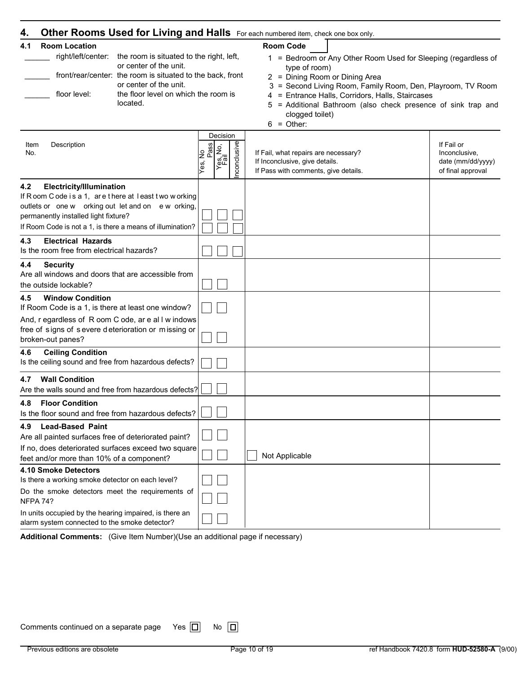| 4.                                                                                                                                                                                                                                                       |                                                                                                                                  |                                                            | Other Rooms Used for Living and Halls For each numbered item, check one box only.                                                                                                                                    |                                                                       |  |
|----------------------------------------------------------------------------------------------------------------------------------------------------------------------------------------------------------------------------------------------------------|----------------------------------------------------------------------------------------------------------------------------------|------------------------------------------------------------|----------------------------------------------------------------------------------------------------------------------------------------------------------------------------------------------------------------------|-----------------------------------------------------------------------|--|
| <b>Room Location</b><br>4.1                                                                                                                                                                                                                              |                                                                                                                                  |                                                            | <b>Room Code</b>                                                                                                                                                                                                     |                                                                       |  |
| right/left/center:                                                                                                                                                                                                                                       | the room is situated to the right, left,<br>or center of the unit.<br>front/rear/center: the room is situated to the back, front |                                                            | 1 = Bedroom or Any Other Room Used for Sleeping (regardless of<br>type of room)<br>2 = Dining Room or Dining Area                                                                                                    |                                                                       |  |
| floor level:                                                                                                                                                                                                                                             | or center of the unit.<br>the floor level on which the room is<br>located.                                                       |                                                            | 3 = Second Living Room, Family Room, Den, Playroom, TV Room<br>4 = Entrance Halls, Corridors, Halls, Staircases<br>5 = Additional Bathroom (also check presence of sink trap and<br>clogged toilet)<br>$6 = Other$ : |                                                                       |  |
| Description<br>Item<br>No.                                                                                                                                                                                                                               |                                                                                                                                  | Decision<br>conclusive<br>Pass<br>$Y_{ES}$ No.<br>ξ<br>es, | If Fail, what repairs are necessary?<br>If Inconclusive, give details.<br>If Pass with comments, give details.                                                                                                       | If Fail or<br>Inconclusive,<br>date (mm/dd/yyyy)<br>of final approval |  |
| <b>Electricity/Illumination</b><br>4.2<br>If Room Code is a 1, are there at least two working<br>outlets or one w orking out let and on ew orking,<br>permanently installed light fixture?<br>If Room Code is not a 1, is there a means of illumination? |                                                                                                                                  |                                                            |                                                                                                                                                                                                                      |                                                                       |  |
| <b>Electrical Hazards</b><br>4.3<br>Is the room free from electrical hazards?                                                                                                                                                                            |                                                                                                                                  |                                                            |                                                                                                                                                                                                                      |                                                                       |  |
| <b>Security</b><br>4.4<br>Are all windows and doors that are accessible from<br>the outside lockable?                                                                                                                                                    |                                                                                                                                  |                                                            |                                                                                                                                                                                                                      |                                                                       |  |
| <b>Window Condition</b><br>4.5<br>If Room Code is a 1, is there at least one window?                                                                                                                                                                     |                                                                                                                                  |                                                            |                                                                                                                                                                                                                      |                                                                       |  |
| And, r egardless of R oom C ode, ar e all w indows<br>free of signs of severe deterioration or missing or<br>broken-out panes?                                                                                                                           |                                                                                                                                  |                                                            |                                                                                                                                                                                                                      |                                                                       |  |
| <b>Ceiling Condition</b><br>4.6<br>Is the ceiling sound and free from hazardous defects?                                                                                                                                                                 |                                                                                                                                  |                                                            |                                                                                                                                                                                                                      |                                                                       |  |
| <b>Wall Condition</b><br>4.7<br>Are the walls sound and free from hazardous defects?                                                                                                                                                                     |                                                                                                                                  |                                                            |                                                                                                                                                                                                                      |                                                                       |  |
| <b>Floor Condition</b><br>4.8<br>Is the floor sound and free from hazardous defects?                                                                                                                                                                     |                                                                                                                                  |                                                            |                                                                                                                                                                                                                      |                                                                       |  |
| <b>Lead-Based Paint</b><br>4.9<br>Are all painted surfaces free of deteriorated paint?<br>If no, does deteriorated surfaces exceed two square                                                                                                            |                                                                                                                                  |                                                            |                                                                                                                                                                                                                      |                                                                       |  |
| feet and/or more than 10% of a component?                                                                                                                                                                                                                |                                                                                                                                  |                                                            | Not Applicable                                                                                                                                                                                                       |                                                                       |  |
| <b>4.10 Smoke Detectors</b><br>Is there a working smoke detector on each level?                                                                                                                                                                          |                                                                                                                                  |                                                            |                                                                                                                                                                                                                      |                                                                       |  |
| Do the smoke detectors meet the requirements of<br><b>NFPA 74?</b>                                                                                                                                                                                       |                                                                                                                                  |                                                            |                                                                                                                                                                                                                      |                                                                       |  |
| In units occupied by the hearing impaired, is there an<br>alarm system connected to the smoke detector?                                                                                                                                                  |                                                                                                                                  |                                                            |                                                                                                                                                                                                                      |                                                                       |  |
|                                                                                                                                                                                                                                                          |                                                                                                                                  |                                                            |                                                                                                                                                                                                                      |                                                                       |  |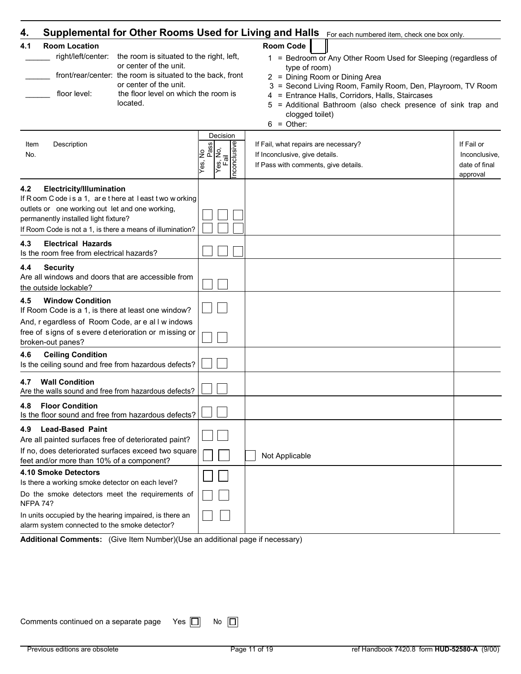| <b>Room Code</b><br><b>Room Location</b><br>4.1<br>right/left/center: the room is situated to the right, left,<br>1 = Bedroom or Any Other Room Used for Sleeping (regardless of<br>or center of the unit.<br>type of room)<br>front/rear/center: the room is situated to the back, front<br>2 = Dining Room or Dining Area<br>or center of the unit.<br>3 = Second Living Room, Family Room, Den, Playroom, TV Room<br>floor level:<br>the floor level on which the room is<br>4 = Entrance Halls, Corridors, Halls, Staircases<br>located.<br>= Additional Bathroom (also check presence of sink trap and<br>5<br>clogged toilet)<br>$6 = Other$ :<br>Decision<br>nconclusive<br>If Fail or<br>Description<br>If Fail, what repairs are necessary?<br>Item<br>No<br>Pass<br>QN.<br>If Inconclusive, give details.<br>No.<br>Inconclusive,<br>Yes, N<br>Fail<br>Yes,<br>If Pass with comments, give details.<br>date of final<br>approval<br><b>Electricity/Illumination</b><br>4.2<br>If Room Code is a 1, are there at least two working<br>outlets or one working out let and one working,<br>permanently installed light fixture?<br>If Room Code is not a 1, is there a means of illumination?<br><b>Electrical Hazards</b><br>4.3<br>Is the room free from electrical hazards?<br><b>Security</b><br>4.4<br>Are all windows and doors that are accessible from<br>the outside lockable?<br><b>Window Condition</b><br>4.5<br>If Room Code is a 1, is there at least one window?<br>And, r egardless of Room Code, ar e all w indows<br>free of signs of severe deterioration or missing or<br>broken-out panes?<br><b>Ceiling Condition</b><br>4.6<br>Is the ceiling sound and free from hazardous defects?<br><b>Wall Condition</b><br>4.7<br>Are the walls sound and free from hazardous defects?<br><b>Floor Condition</b><br>4.8<br>Is the floor sound and free from hazardous defects?<br><b>Lead-Based Paint</b><br>4.9<br>Are all painted surfaces free of deteriorated paint?<br>If no, does deteriorated surfaces exceed two square<br>Not Applicable<br>feet and/or more than 10% of a component?<br><b>4.10 Smoke Detectors</b><br>Is there a working smoke detector on each level?<br>Do the smoke detectors meet the requirements of<br><b>NFPA 74?</b><br>In units occupied by the hearing impaired, is there an<br>alarm system connected to the smoke detector? | 4. |  |  | Supplemental for Other Rooms Used for Living and Halls For each numbered item, check one box only. |  |
|----------------------------------------------------------------------------------------------------------------------------------------------------------------------------------------------------------------------------------------------------------------------------------------------------------------------------------------------------------------------------------------------------------------------------------------------------------------------------------------------------------------------------------------------------------------------------------------------------------------------------------------------------------------------------------------------------------------------------------------------------------------------------------------------------------------------------------------------------------------------------------------------------------------------------------------------------------------------------------------------------------------------------------------------------------------------------------------------------------------------------------------------------------------------------------------------------------------------------------------------------------------------------------------------------------------------------------------------------------------------------------------------------------------------------------------------------------------------------------------------------------------------------------------------------------------------------------------------------------------------------------------------------------------------------------------------------------------------------------------------------------------------------------------------------------------------------------------------------------------------------------------------------------------------------------------------------------------------------------------------------------------------------------------------------------------------------------------------------------------------------------------------------------------------------------------------------------------------------------------------------------------------------------------------------------------------------------------------------------------------------------------|----|--|--|----------------------------------------------------------------------------------------------------|--|
|                                                                                                                                                                                                                                                                                                                                                                                                                                                                                                                                                                                                                                                                                                                                                                                                                                                                                                                                                                                                                                                                                                                                                                                                                                                                                                                                                                                                                                                                                                                                                                                                                                                                                                                                                                                                                                                                                                                                                                                                                                                                                                                                                                                                                                                                                                                                                                                        |    |  |  |                                                                                                    |  |
|                                                                                                                                                                                                                                                                                                                                                                                                                                                                                                                                                                                                                                                                                                                                                                                                                                                                                                                                                                                                                                                                                                                                                                                                                                                                                                                                                                                                                                                                                                                                                                                                                                                                                                                                                                                                                                                                                                                                                                                                                                                                                                                                                                                                                                                                                                                                                                                        |    |  |  |                                                                                                    |  |
|                                                                                                                                                                                                                                                                                                                                                                                                                                                                                                                                                                                                                                                                                                                                                                                                                                                                                                                                                                                                                                                                                                                                                                                                                                                                                                                                                                                                                                                                                                                                                                                                                                                                                                                                                                                                                                                                                                                                                                                                                                                                                                                                                                                                                                                                                                                                                                                        |    |  |  |                                                                                                    |  |
|                                                                                                                                                                                                                                                                                                                                                                                                                                                                                                                                                                                                                                                                                                                                                                                                                                                                                                                                                                                                                                                                                                                                                                                                                                                                                                                                                                                                                                                                                                                                                                                                                                                                                                                                                                                                                                                                                                                                                                                                                                                                                                                                                                                                                                                                                                                                                                                        |    |  |  |                                                                                                    |  |
|                                                                                                                                                                                                                                                                                                                                                                                                                                                                                                                                                                                                                                                                                                                                                                                                                                                                                                                                                                                                                                                                                                                                                                                                                                                                                                                                                                                                                                                                                                                                                                                                                                                                                                                                                                                                                                                                                                                                                                                                                                                                                                                                                                                                                                                                                                                                                                                        |    |  |  |                                                                                                    |  |
|                                                                                                                                                                                                                                                                                                                                                                                                                                                                                                                                                                                                                                                                                                                                                                                                                                                                                                                                                                                                                                                                                                                                                                                                                                                                                                                                                                                                                                                                                                                                                                                                                                                                                                                                                                                                                                                                                                                                                                                                                                                                                                                                                                                                                                                                                                                                                                                        |    |  |  |                                                                                                    |  |
|                                                                                                                                                                                                                                                                                                                                                                                                                                                                                                                                                                                                                                                                                                                                                                                                                                                                                                                                                                                                                                                                                                                                                                                                                                                                                                                                                                                                                                                                                                                                                                                                                                                                                                                                                                                                                                                                                                                                                                                                                                                                                                                                                                                                                                                                                                                                                                                        |    |  |  |                                                                                                    |  |
|                                                                                                                                                                                                                                                                                                                                                                                                                                                                                                                                                                                                                                                                                                                                                                                                                                                                                                                                                                                                                                                                                                                                                                                                                                                                                                                                                                                                                                                                                                                                                                                                                                                                                                                                                                                                                                                                                                                                                                                                                                                                                                                                                                                                                                                                                                                                                                                        |    |  |  |                                                                                                    |  |
|                                                                                                                                                                                                                                                                                                                                                                                                                                                                                                                                                                                                                                                                                                                                                                                                                                                                                                                                                                                                                                                                                                                                                                                                                                                                                                                                                                                                                                                                                                                                                                                                                                                                                                                                                                                                                                                                                                                                                                                                                                                                                                                                                                                                                                                                                                                                                                                        |    |  |  |                                                                                                    |  |
|                                                                                                                                                                                                                                                                                                                                                                                                                                                                                                                                                                                                                                                                                                                                                                                                                                                                                                                                                                                                                                                                                                                                                                                                                                                                                                                                                                                                                                                                                                                                                                                                                                                                                                                                                                                                                                                                                                                                                                                                                                                                                                                                                                                                                                                                                                                                                                                        |    |  |  |                                                                                                    |  |
|                                                                                                                                                                                                                                                                                                                                                                                                                                                                                                                                                                                                                                                                                                                                                                                                                                                                                                                                                                                                                                                                                                                                                                                                                                                                                                                                                                                                                                                                                                                                                                                                                                                                                                                                                                                                                                                                                                                                                                                                                                                                                                                                                                                                                                                                                                                                                                                        |    |  |  |                                                                                                    |  |
| Additional Commenter (Cive Ham Number)(Lee an additional nage if noe                                                                                                                                                                                                                                                                                                                                                                                                                                                                                                                                                                                                                                                                                                                                                                                                                                                                                                                                                                                                                                                                                                                                                                                                                                                                                                                                                                                                                                                                                                                                                                                                                                                                                                                                                                                                                                                                                                                                                                                                                                                                                                                                                                                                                                                                                                                   |    |  |  |                                                                                                    |  |

Comments continued on a separate page Yes  $\Box$  No  $\Box$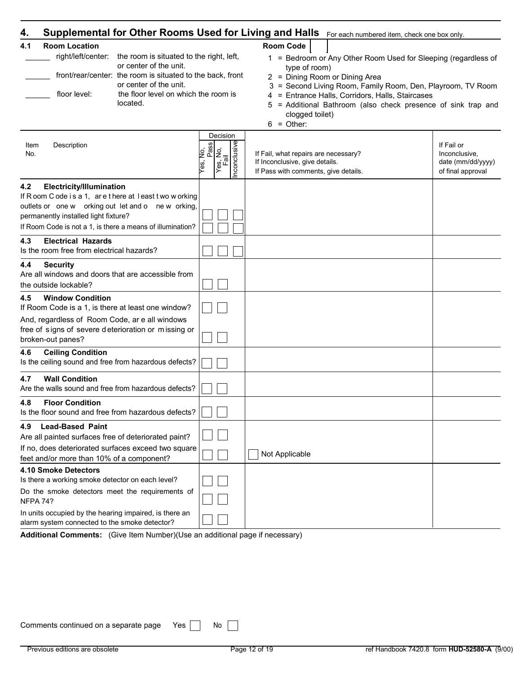| 4.                                                                                                                                                       |                                                                      | Supplemental for Other Rooms Used for Living and Halls For each numbered item, check one box only.                                                                                                               |                                                                       |  |
|----------------------------------------------------------------------------------------------------------------------------------------------------------|----------------------------------------------------------------------|------------------------------------------------------------------------------------------------------------------------------------------------------------------------------------------------------------------|-----------------------------------------------------------------------|--|
| <b>Room Location</b><br>4.1                                                                                                                              |                                                                      | Room Code                                                                                                                                                                                                        |                                                                       |  |
| right/left/center:<br>the room is situated to the right, left,<br>or center of the unit.                                                                 |                                                                      | 1 = Bedroom or Any Other Room Used for Sleeping (regardless of<br>type of room)                                                                                                                                  |                                                                       |  |
| front/rear/center: the room is situated to the back, front                                                                                               |                                                                      | 2 = Dining Room or Dining Area                                                                                                                                                                                   |                                                                       |  |
| or center of the unit.<br>floor level:<br>the floor level on which the room is<br>located.                                                               |                                                                      | 3 = Second Living Room, Family Room, Den, Playroom, TV Room<br>= Entrance Halls, Corridors, Halls, Staircases<br>= Additional Bathroom (also check presence of sink trap and<br>clogged toilet)<br>$6 = Other$ : |                                                                       |  |
|                                                                                                                                                          | Decision                                                             |                                                                                                                                                                                                                  |                                                                       |  |
| Description<br>Item<br>No.                                                                                                                               | nconclusive<br>No.<br>Pass<br>$\overline{2}$<br>Yes, N<br>Fail<br>ဖြ | If Fail, what repairs are necessary?<br>If Inconclusive, give details.<br>If Pass with comments, give details.                                                                                                   | If Fail or<br>Inconclusive,<br>date (mm/dd/yyyy)<br>of final approval |  |
| <b>Electricity/Illumination</b><br>4.2                                                                                                                   |                                                                      |                                                                                                                                                                                                                  |                                                                       |  |
| If Room Code is a 1, are there at least two working                                                                                                      |                                                                      |                                                                                                                                                                                                                  |                                                                       |  |
| outlets or one w orking out let and o ne w orking,<br>permanently installed light fixture?<br>If Room Code is not a 1, is there a means of illumination? |                                                                      |                                                                                                                                                                                                                  |                                                                       |  |
| <b>Electrical Hazards</b><br>4.3<br>Is the room free from electrical hazards?                                                                            |                                                                      |                                                                                                                                                                                                                  |                                                                       |  |
| 4.4<br><b>Security</b><br>Are all windows and doors that are accessible from<br>the outside lockable?                                                    |                                                                      |                                                                                                                                                                                                                  |                                                                       |  |
| <b>Window Condition</b><br>4.5<br>If Room Code is a 1, is there at least one window?                                                                     |                                                                      |                                                                                                                                                                                                                  |                                                                       |  |
| And, regardless of Room Code, ar e all windows<br>free of signs of severe deterioration or missing or<br>broken-out panes?                               |                                                                      |                                                                                                                                                                                                                  |                                                                       |  |
| <b>Ceiling Condition</b><br>4.6<br>Is the ceiling sound and free from hazardous defects?                                                                 |                                                                      |                                                                                                                                                                                                                  |                                                                       |  |
| <b>Wall Condition</b><br>4.7<br>Are the walls sound and free from hazardous defects?                                                                     |                                                                      |                                                                                                                                                                                                                  |                                                                       |  |
| <b>Floor Condition</b><br>4.8<br>Is the floor sound and free from hazardous defects?                                                                     |                                                                      |                                                                                                                                                                                                                  |                                                                       |  |
| <b>Lead-Based Paint</b><br>4.9<br>Are all painted surfaces free of deteriorated paint?                                                                   |                                                                      |                                                                                                                                                                                                                  |                                                                       |  |
| If no, does deteriorated surfaces exceed two square<br>feet and/or more than 10% of a component?                                                         |                                                                      | Not Applicable                                                                                                                                                                                                   |                                                                       |  |
| 4.10 Smoke Detectors<br>Is there a working smoke detector on each level?                                                                                 |                                                                      |                                                                                                                                                                                                                  |                                                                       |  |
| Do the smoke detectors meet the requirements of<br><b>NFPA 74?</b>                                                                                       |                                                                      |                                                                                                                                                                                                                  |                                                                       |  |
| In units occupied by the hearing impaired, is there an<br>alarm system connected to the smoke detector?                                                  |                                                                      |                                                                                                                                                                                                                  |                                                                       |  |

Comments continued on a separate page  $Yes$   $\Box$  No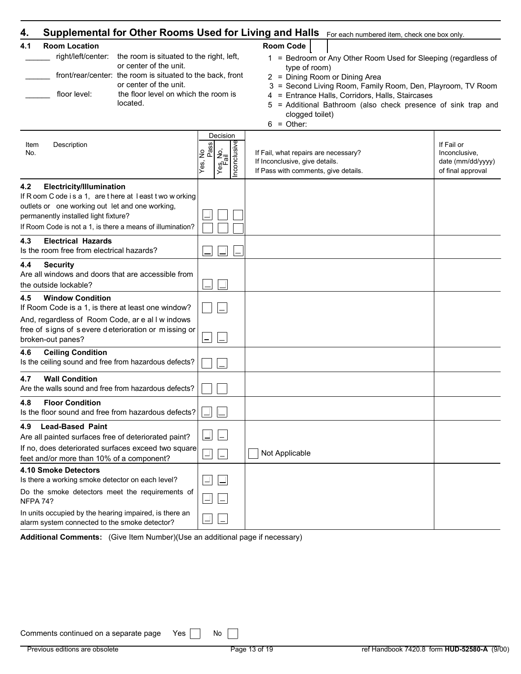| 4.              |                                                                          |                                                                                      |                          |                       | Supplemental for Other Rooms Used for Living and Halls For each numbered item, check one box only.              |                             |
|-----------------|--------------------------------------------------------------------------|--------------------------------------------------------------------------------------|--------------------------|-----------------------|-----------------------------------------------------------------------------------------------------------------|-----------------------------|
| 4.1             | <b>Room Location</b>                                                     |                                                                                      |                          |                       | <b>Room Code</b>                                                                                                |                             |
|                 | right/left/center:                                                       | the room is situated to the right, left,                                             |                          |                       | 1 = Bedroom or Any Other Room Used for Sleeping (regardless of                                                  |                             |
|                 |                                                                          | or center of the unit.                                                               |                          |                       | type of room)                                                                                                   |                             |
|                 |                                                                          | front/rear/center: the room is situated to the back, front<br>or center of the unit. |                          |                       | 2 = Dining Room or Dining Area                                                                                  |                             |
|                 | floor level:                                                             | the floor level on which the room is                                                 |                          |                       | 3 = Second Living Room, Family Room, Den, Playroom, TV Room<br>4 = Entrance Halls, Corridors, Halls, Staircases |                             |
|                 |                                                                          | located.                                                                             |                          |                       | = Additional Bathroom (also check presence of sink trap and                                                     |                             |
|                 |                                                                          |                                                                                      |                          |                       | clogged toilet)                                                                                                 |                             |
|                 |                                                                          |                                                                                      |                          |                       | $6 = Other$ :                                                                                                   |                             |
|                 |                                                                          |                                                                                      |                          | Decision              |                                                                                                                 |                             |
| Item<br>No.     | Description                                                              |                                                                                      | No<br>Pass               | nconclusive           | If Fail, what repairs are necessary?                                                                            | If Fail or<br>Inconclusive, |
|                 |                                                                          |                                                                                      |                          | $Yes$ , No.<br>$Fail$ | If Inconclusive, give details.                                                                                  | date (mm/dd/yyyy)           |
|                 |                                                                          |                                                                                      | Yes,                     |                       | If Pass with comments, give details.                                                                            | of final approval           |
| 4.2             | <b>Electricity/Illumination</b>                                          |                                                                                      |                          |                       |                                                                                                                 |                             |
|                 |                                                                          | If Room C ode is a 1, are there at least two w orking                                |                          |                       |                                                                                                                 |                             |
|                 | outlets or one working out let and one working,                          |                                                                                      |                          |                       |                                                                                                                 |                             |
|                 | permanently installed light fixture?                                     |                                                                                      |                          |                       |                                                                                                                 |                             |
|                 |                                                                          | If Room Code is not a 1, is there a means of illumination?                           |                          |                       |                                                                                                                 |                             |
| 4.3             | <b>Electrical Hazards</b>                                                |                                                                                      |                          |                       |                                                                                                                 |                             |
|                 | Is the room free from electrical hazards?                                |                                                                                      |                          |                       |                                                                                                                 |                             |
| 4.4             | <b>Security</b>                                                          |                                                                                      |                          |                       |                                                                                                                 |                             |
|                 |                                                                          | Are all windows and doors that are accessible from                                   |                          |                       |                                                                                                                 |                             |
|                 | the outside lockable?                                                    |                                                                                      |                          |                       |                                                                                                                 |                             |
| 4.5             | <b>Window Condition</b>                                                  |                                                                                      |                          |                       |                                                                                                                 |                             |
|                 |                                                                          | If Room Code is a 1, is there at least one window?                                   |                          |                       |                                                                                                                 |                             |
|                 |                                                                          | And, regardless of Room Code, ar e all w indows                                      |                          |                       |                                                                                                                 |                             |
|                 | broken-out panes?                                                        | free of signs of severe deterioration or missing or                                  | $\overline{\phantom{0}}$ |                       |                                                                                                                 |                             |
|                 |                                                                          |                                                                                      |                          |                       |                                                                                                                 |                             |
| 4.6             | <b>Ceiling Condition</b>                                                 | Is the ceiling sound and free from hazardous defects?                                |                          |                       |                                                                                                                 |                             |
|                 |                                                                          |                                                                                      |                          |                       |                                                                                                                 |                             |
| 4.7             | <b>Wall Condition</b>                                                    |                                                                                      |                          |                       |                                                                                                                 |                             |
|                 |                                                                          | Are the walls sound and free from hazardous defects?                                 |                          |                       |                                                                                                                 |                             |
| 4.8             | <b>Floor Condition</b>                                                   |                                                                                      |                          |                       |                                                                                                                 |                             |
|                 |                                                                          | Is the floor sound and free from hazardous defects?                                  |                          |                       |                                                                                                                 |                             |
| 4.9             | <b>Lead-Based Paint</b>                                                  |                                                                                      |                          |                       |                                                                                                                 |                             |
|                 |                                                                          | Are all painted surfaces free of deteriorated paint?                                 |                          |                       |                                                                                                                 |                             |
|                 |                                                                          | If no, does deteriorated surfaces exceed two square                                  |                          |                       | Not Applicable                                                                                                  |                             |
|                 | feet and/or more than 10% of a component?                                |                                                                                      |                          |                       |                                                                                                                 |                             |
|                 | 4.10 Smoke Detectors<br>Is there a working smoke detector on each level? |                                                                                      |                          |                       |                                                                                                                 |                             |
|                 |                                                                          | Do the smoke detectors meet the requirements of                                      |                          |                       |                                                                                                                 |                             |
| <b>NFPA 74?</b> |                                                                          |                                                                                      |                          |                       |                                                                                                                 |                             |
|                 |                                                                          | In units occupied by the hearing impaired, is there an                               |                          |                       |                                                                                                                 |                             |
|                 | alarm system connected to the smoke detector?                            |                                                                                      |                          |                       |                                                                                                                 |                             |
|                 |                                                                          |                                                                                      |                          |                       |                                                                                                                 |                             |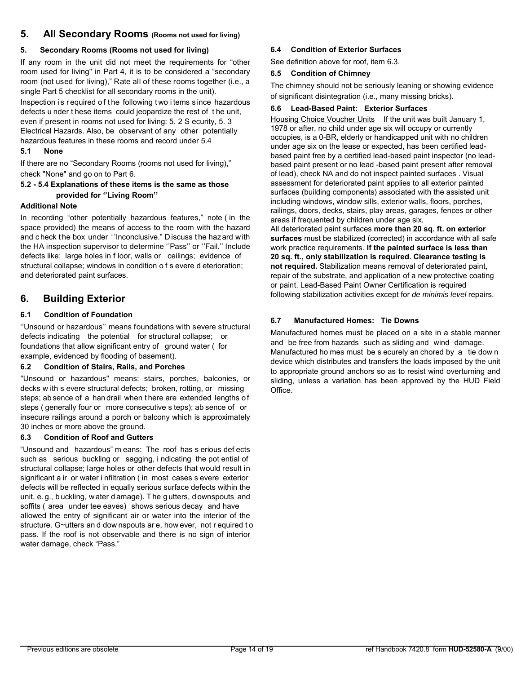# **5. All Secondary Rooms (Rooms not used for living)**

# **5. Secondary Rooms (Rooms not used for living)**

If any room in the unit did not meet the requirements for "other room used for living" in Part 4, it is to be considered a "secondary room (not used for living)," Rate all of these rooms together (i.e., a single Part 5 checklist for all secondary rooms in the unit). Inspection is required of the following two i tems since hazardous defects u nder t hese items could jeopardize the rest of t he unit, even if present in rooms not used for living: 5. 2 S ecurity, 5. 3 Electrical Hazards. Also, be observant of any other potentially hazardous features in these rooms and record under 5.4

# **5.1 None**

If there are no "Secondary Rooms (rooms not used for living)," check "None" and go on to Part 6.

# **5.2 - 5.4 Explanations of these items is the same as those provided for ''Living Room''**

# **Additional Note**

In recording "other potentially hazardous features," note ( in the space provided) the means of access to the room with the hazard and c heck t he box under ' 'Inconclusive." D iscuss t he hazard with the HA inspection supervisor to determine ''Pass'' or ''Fail.'' Include defects like: large holes in f loor, walls or ceilings; evidence of structural collapse; windows in condition o f s evere d eterioration; and deteriorated paint surfaces.

# **6. Building Exterior**

# **6.1 Condition of Foundation**

''Unsound or hazardous'' means foundations with severe structural defects indicating the potential for structural collapse; or foundations that allow significant entry of ground water ( for example, evidenced by flooding of basement).

# **6.2 Condition of Stairs, Rails, and Porches**

"Unsound or hazardous" means: stairs, porches, balconies, or decks w ith s evere structural defects; broken, rotting, or missing steps; ab sence of a han drail when t here are extended lengths o f steps ( generally four or more consecutive s teps); ab sence of or insecure railings around a porch or balcony which is approximately 30 inches or more above the ground.

# **6.3 Condition of Roof and Gutters**

"Unsound and hazardous" m eans: The roof has s erious def ects such as serious buckling or sagging, i ndicating the pot ential of structural collapse; large holes or other defects that would result in significant a ir or water i nfiltration ( in most cases s evere exterior defects will be reflected in equally serious surface defects within the unit, e. g., b uckling, w ater d amage). T he g utters, d ownspouts and soffits ( area under tee eaves) shows serious decay and have allowed the entry of significant air or water into the interior of the structure. G~utters and dow nspouts are, how ever, not required to pass. If the roof is not observable and there is no sign of interior water damage, check "Pass."

# **6.4 Condition of Exterior Surfaces**

See definition above for roof, item 6.3.

# **6.5 Condition of Chimney**

The chimney should not be seriously leaning or showing evidence of significant disintegration (i.e., many missing bricks).

# **6.6 Lead-Based Paint: Exterior Surfaces**

Housing Choice Voucher Units If the unit was built January 1, 1978 or after, no child under age six will occupy or currently occupies, is a 0-BR, elderly or handicapped unit with no children under age six on the lease or expected, has been certified leadbased paint free by a certified lead-based paint inspector (no leadbased paint present or no lead -based paint present after removal of lead), check NA and do not inspect painted surfaces . Visual assessment for deteriorated paint applies to all exterior painted surfaces (building components) associated with the assisted unit including windows, window sills, exterior walls, floors, porches, railings, doors, decks, stairs, play areas, garages, fences or other areas if frequented by children under age six.

All deteriorated paint surfaces **more than 20 sq. ft. on exterior surfaces** must be stabilized (corrected) in accordance with all safe work practice requirements. **If the painted surface is less than 20 sq. ft., only stabilization is required. Clearance testing is not required.** Stabilization means removal of deteriorated paint, repair of the substrate, and application of a new protective coating or paint. Lead-Based Paint Owner Certification is required following stabilization activities except for *de minimis level* repairs.

## **6.7 Manufactured Homes: Tie Downs**

Manufactured homes must be placed on a site in a stable manner and be free from hazards such as sliding and wind damage. Manufactured ho mes must be s ecurely an chored by a tie dow n device which distributes and transfers the loads imposed by the unit to appropriate ground anchors so as to resist wind overturning and sliding, unless a variation has been approved by the HUD Field Office.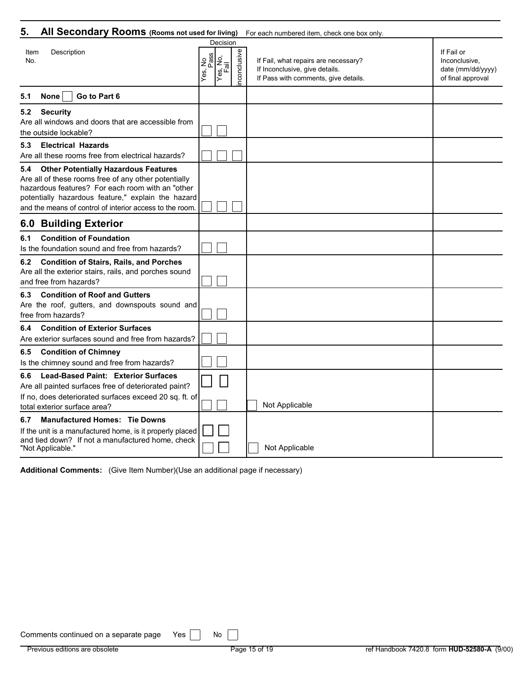| 5.<br>All Secondary Rooms (Rooms not used for living)                                                                                                                                                                                                                            |                                                                | For each numbered item, check one box only.                                                                    |                                                                       |
|----------------------------------------------------------------------------------------------------------------------------------------------------------------------------------------------------------------------------------------------------------------------------------|----------------------------------------------------------------|----------------------------------------------------------------------------------------------------------------|-----------------------------------------------------------------------|
| Description<br>Item<br>No.                                                                                                                                                                                                                                                       | Decision<br>nconclusive<br>Yes, No<br>Pass<br>Yes, No,<br>Fail | If Fail, what repairs are necessary?<br>If Inconclusive, give details.<br>If Pass with comments, give details. | If Fail or<br>Inconclusive,<br>date (mm/dd/yyyy)<br>of final approval |
| Go to Part 6<br><b>None</b><br>5.1                                                                                                                                                                                                                                               |                                                                |                                                                                                                |                                                                       |
| 5.2<br><b>Security</b><br>Are all windows and doors that are accessible from<br>the outside lockable?                                                                                                                                                                            |                                                                |                                                                                                                |                                                                       |
| <b>Electrical Hazards</b><br>5.3<br>Are all these rooms free from electrical hazards?                                                                                                                                                                                            |                                                                |                                                                                                                |                                                                       |
| <b>Other Potentially Hazardous Features</b><br>5.4<br>Are all of these rooms free of any other potentially<br>hazardous features? For each room with an "other<br>potentially hazardous feature," explain the hazard<br>and the means of control of interior access to the room. |                                                                |                                                                                                                |                                                                       |
| <b>6.0 Building Exterior</b>                                                                                                                                                                                                                                                     |                                                                |                                                                                                                |                                                                       |
| <b>Condition of Foundation</b><br>6.1<br>Is the foundation sound and free from hazards?                                                                                                                                                                                          |                                                                |                                                                                                                |                                                                       |
| <b>Condition of Stairs, Rails, and Porches</b><br>6.2<br>Are all the exterior stairs, rails, and porches sound<br>and free from hazards?                                                                                                                                         |                                                                |                                                                                                                |                                                                       |
| <b>Condition of Roof and Gutters</b><br>6.3<br>Are the roof, gutters, and downspouts sound and<br>free from hazards?                                                                                                                                                             |                                                                |                                                                                                                |                                                                       |
| <b>Condition of Exterior Surfaces</b><br>6.4<br>Are exterior surfaces sound and free from hazards?                                                                                                                                                                               |                                                                |                                                                                                                |                                                                       |
| 6.5<br><b>Condition of Chimney</b><br>Is the chimney sound and free from hazards?                                                                                                                                                                                                |                                                                |                                                                                                                |                                                                       |
| <b>Lead-Based Paint: Exterior Surfaces</b><br>6.6<br>Are all painted surfaces free of deteriorated paint?<br>If no, does deteriorated surfaces exceed 20 sq. ft. of<br>total exterior surface area?                                                                              |                                                                | Not Applicable                                                                                                 |                                                                       |
| <b>Manufactured Homes: Tie Downs</b><br>6.7<br>If the unit is a manufactured home, is it properly placed<br>and tied down? If not a manufactured home, check<br>"Not Applicable."                                                                                                |                                                                | Not Applicable                                                                                                 |                                                                       |

Comments continued on a separate page Yes No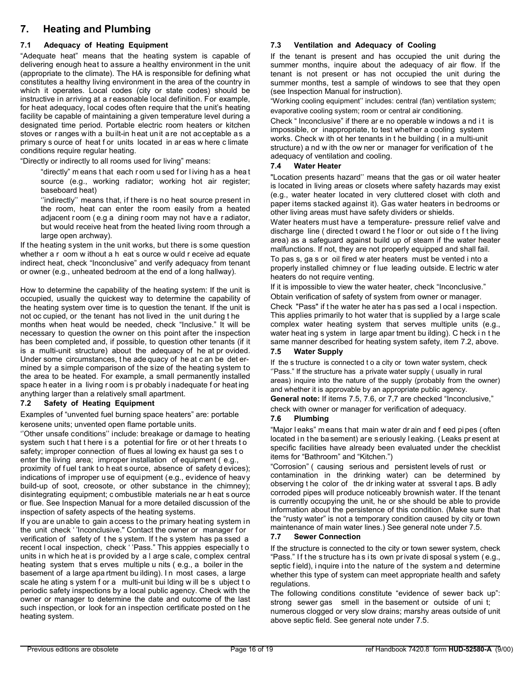# **7. Heating and Plumbing**

# **7.1 Adequacy of Heating Equipment**

"Adequate heat" means that the heating system is capable of delivering enough heat to assure a healthy environment in the unit (appropriate to the climate). The HA is responsible for defining what constitutes a healthy living environment in the area of the country in which it operates. Local codes (city or state codes) should be instructive in arriving at a r easonable local definition. For example, for heat adequacy, local codes often require that the unit's heating facility be capable of maintaining a given temperature level during a designated time period. Portable electric room heaters or kitchen stoves or r anges with a built-in heat unit are not acceptable as a primary s ource of heat f or units located in ar eas w here c limate conditions require regular heating.

"Directly or indirectly to all rooms used for living" means:

"directly" m eans t hat each r oom u sed f or l iving h as a hea t source (e.g., working radiator; working hot air register; baseboard heat)

''indirectly'' means that, if there is no heat source present in the room, heat can enter the room easily from a heated adjacent room (e.g a dining room may not have a radiator, but would receive heat from the heated living room through a large open archway).

If the heating system in the unit works, but there is some question whether a r oom w ithout a h eat s ource w ould r eceive ad equate indirect heat, check "Inconclusive" and verify adequacy from tenant or owner (e.g., unheated bedroom at the end of a long hallway).

How to determine the capability of the heating system: If the unit is occupied, usually the quickest way to determine the capability of the heating system over time is to question the tenant. If the unit is not oc cupied, or the tenant has not lived in the unit during t he months when heat would be needed, check "Inclusive." It will be necessary to question the owner on this point after the inspection has been completed and, if possible, to question other tenants (if it is a muIti-unit structure) about the adequacy of he at pr ovided. Under some circumstances, t he ade quacy of he at c an be det ermined by a simple comparison of the size of the heating system to the area to be heated. For example, a small permanently installed space h eater in a living r oom is pr obably i nadequate f or heating anything larger than a relatively small apartment.

# **7.2 Safety of Heating Equipment**

Examples of "unvented fuel burning space heaters" are: portable kerosene units; unvented open flame portable units.

''Other unsafe conditions'' include: breakage or damage to heating system such t hat t here is a potential for fire or ot her t hreats to safety; improper connection of flues al lowing ex haust ga ses t o enter the living area; improper installation of equipment ( e.g., proximity of fuel tank to h eat s ource, absence of safety d evices); indications of improper use of equipment (e.g., evidence of heavy build-up of soot, creosote, or other substance in the chimney); disintegrating equipment; c ombustible materials ne ar h eat s ource or flue. See Inspection Manual for a more detailed discussion of the inspection of safety aspects of the heating systems.

If you are unable to gain access to the primary heating system in the unit check ' 'Inconclusive." Contact the owner or manager f or verification of safety of t he s ystem. If t he s ystem has pa ssed a recent l ocal inspection, check ' 'Pass." This apppies especially t o units in which he at is provided by a I arge s cale, c omplex central heating system that s erves multiple u nits ( e.g., a boiler in the basement of a large apa rtment bu ilding). I n most cases, a large scale he ating s ystem f or a multi-unit bui lding w ill be s ubject t o periodic safety inspections by a local public agency. Check with the owner or manager to determine the date and outcome of the last such inspection, or look for an inspection certificate posted on t he heating system.

# **7.3 Ventilation and Adequacy of Cooling**

If the tenant is present and has occupied the unit during the summer months, inquire about the adequacy of air flow. If the tenant is not present or has not occupied the unit during the summer months, test a sample of windows to see that they open (see Inspection Manual for instruction).

"Working cooling equipment'' includes: central (fan) ventilation system; evaporative cooling system; room or central air conditioning.

Check " Inconclusive" if there ar e no operable w indows a nd i t is impossible, or inappropriate, to test whether a cooling system works. Check w ith ot her tenants in t he building (in a multi-unit structure) a nd w ith the ow ner or manager for verification of t he adequacy of ventilation and cooling.

## **7.4 Water Heater**

"Location presents hazard'' means that the gas or oil water heater is located in living areas or closets where safety hazards may exist (e.g., water heater located in very cluttered closet with cloth and paper items stacked against it). Gas water heaters in bedrooms or other living areas must have safety dividers or shields.

Water heaters must have a temperature- pressure relief valve and discharge line ( directed t oward t he f loor or out side o f t he living area) as a safeguard against build up of steam if the water heater malfunctions. If not, they are not properly equipped and shall fail. To pas s, ga s or oil fired w ater heaters must be vented i nto a properly installed chimney or f lue leading outside. E lectric w ater heaters do not require venting.

If it is impossible to view the water heater, check "Inconclusive." Obtain verification of safety of system from owner or manager.

Check "Pass" if t he water he ater ha s pas sed a l ocal i nspection. This applies primarily to hot water that is supplied by a large scale complex water heating system that serves multiple units (e.g., water heat ing s ystem in large apar tment bu ilding). C heck i n t he same manner described for heating system safety, item 7.2, above.

# **7.5 Water Supply**

If the s tructure is connected t o a city or town water system, check ''Pass." If the structure has a private water supply ( usually in rural areas) inquire into the nature of the supply (probably from the owner) and whether it is approvable by an appropriate public agency.

**General note:** If items 7.5, 7.6, or 7,7 are checked "Inconclusive,"

check with owner or manager for verification of adequacy.

## **7.6 Plumbing**

"Major l eaks" m eans t hat main w ater dr ain and f eed pi pes ( often located in the basement) are s eriously leaking. (Leaks present at specific facilities have already been evaluated under the checklist items for "Bathroom" and "Kitchen.")

"Corrosion" ( causing serious and persistent levels of rust or contamination in the drinking water) can be determined by observing t he color of the dr inking water at ssveral t aps. B adly corroded pipes will produce noticeably brownish water. If the tenant is currently occupying the unit, he or she should be able to provide information about the persistence of this condition. (Make sure that the "rusty water" is not a temporary condition caused by city or town maintenance of main water lines.) See general note under 7.5.

#### **7.7 Sewer Connection**

If the structure is connected to the city or town sewer system, check "Pass." I f t he s tructure ha s i ts own pr ivate di sposal s ystem ( e.g., septic field), i nquire i nto the nature of the system and determine whether this type of system can meet appropriate health and safety regulations.

The following conditions constitute "evidence of sewer back up": strong sewer gas smell in the basement or outside of uni t; numerous clogged or very slow drains; marshy areas outside of unit above septic field. See general note under 7.5.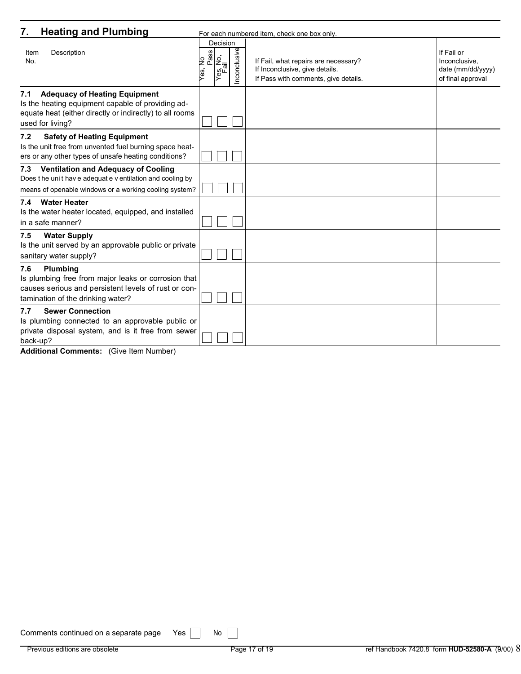| 7.<br><b>Heating and Plumbing</b>                                                                                                                                                               |                                                                | For each numbered item, check one box only.                                                                    |                                                                       |
|-------------------------------------------------------------------------------------------------------------------------------------------------------------------------------------------------|----------------------------------------------------------------|----------------------------------------------------------------------------------------------------------------|-----------------------------------------------------------------------|
| Description<br>Item<br>No.                                                                                                                                                                      | Decision<br>nconclusive<br>Pass<br>Yes, No,<br>Fail<br>Yes, No | If Fail, what repairs are necessary?<br>If Inconclusive, give details.<br>If Pass with comments, give details. | If Fail or<br>Inconclusive,<br>date (mm/dd/yyyy)<br>of final approval |
| <b>Adequacy of Heating Equipment</b><br>7.1<br>Is the heating equipment capable of providing ad-<br>equate heat (either directly or indirectly) to all rooms<br>used for living?                |                                                                |                                                                                                                |                                                                       |
| <b>Safety of Heating Equipment</b><br>7.2<br>Is the unit free from unvented fuel burning space heat-<br>ers or any other types of unsafe heating conditions?                                    |                                                                |                                                                                                                |                                                                       |
| <b>Ventilation and Adequacy of Cooling</b><br>7.3<br>Does the unit have adequate ventilation and cooling by<br>means of openable windows or a working cooling system?                           |                                                                |                                                                                                                |                                                                       |
| <b>Water Heater</b><br>7.4<br>Is the water heater located, equipped, and installed<br>in a safe manner?                                                                                         |                                                                |                                                                                                                |                                                                       |
| <b>Water Supply</b><br>7.5<br>Is the unit served by an approvable public or private<br>sanitary water supply?                                                                                   |                                                                |                                                                                                                |                                                                       |
| 7.6<br>Plumbing<br>Is plumbing free from major leaks or corrosion that<br>causes serious and persistent levels of rust or con-<br>tamination of the drinking water?                             |                                                                |                                                                                                                |                                                                       |
| <b>Sewer Connection</b><br>7.7<br>Is plumbing connected to an approvable public or<br>private disposal system, and is it free from sewer<br>back-up?<br>Additional Commonte: (Give Item Number) |                                                                |                                                                                                                |                                                                       |

**Additional Comments:** (Give Item Number)

Comments continued on a separate page  $Yes$  No  $\Box$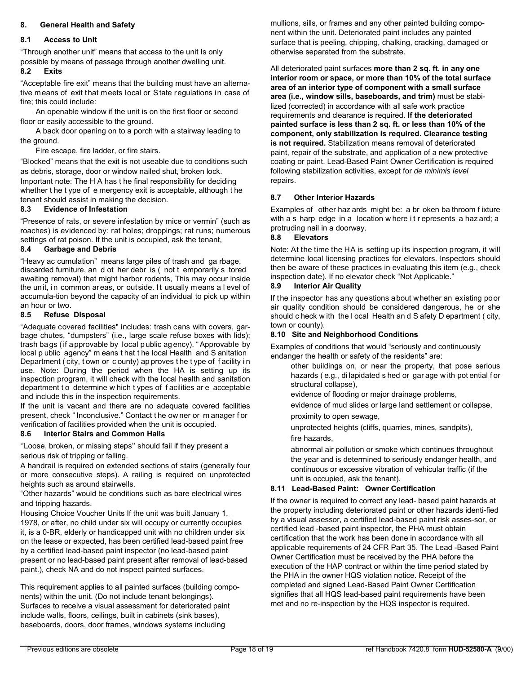## **8. General Health and Safety**

#### **8.1 Access to Unit**

"Through another unit" means that access to the unit Is only possible by means of passage through another dwelling unit.

## **8.2 Exits**

"Acceptable fire exit" means that the building must have an alternative means of exit that meets local or State regulations in case of fire; this could include:

An openable window if the unit is on the first floor or second floor or easily accessible to the ground.

A back door opening on to a porch with a stairway leading to the ground.

Fire escape, fire ladder, or fire stairs.

"Blocked" means that the exit is not useable due to conditions such as debris, storage, door or window nailed shut, broken lock. Important note: The H A has t he final responsibility for deciding whether t he t ype of e mergency exit is acceptable, although t he tenant should assist in making the decision.

## **8.3 Evidence of Infestation**

"Presence of rats, or severe infestation by mice or vermin" (such as roaches) is evidenced by: rat holes; droppings; rat runs; numerous settings of rat poison. If the unit is occupied, ask the tenant,

#### **8.4 Garbage and Debris**

"Heavy ac cumulation" means large piles of trash and ga rbage, discarded furniture, an d ot her debr is ( not t emporarily s tored awaiting removal) that might harbor rodents, This may occur inside the unit, in common areas, or outside. It usually means a l evel of accumula-tion beyond the capacity of an individual to pick up within an hour or two.

## **8.5 Refuse Disposal**

"Adequate covered facilities" includes: trash cans with covers, garbage chutes, "dumpsters" (i.e., large scale refuse boxes with lids); trash bags ( if approvable by local public agency). " ApprovabIe by local p ublic agency" m eans t hat t he local Health and S anitation Department ( city, t own or c ounty) ap proves t he t ype of f acility i n use. Note: During the period when the HA is setting up its inspection program, it will check with the local health and sanitation department to determine w hich t ypes of f acilities ar e acceptable and include this in the inspection requirements.

If the unit is vacant and there are no adequate covered facilities present, check " Inconclusive." Contact t he ow ner or m anager f or verification of facilities provided when the unit is occupied.

## **8.6 Interior Stairs and Common Halls**

"Loose, broken, or missing steps" should fail if they present a serious risk of tripping or falling.

A handrail is required on extended sections of stairs (generally four or more consecutive steps). A railing is required on unprotected heights such as around stairwells.

"Other hazards" would be conditions such as bare electrical wires and tripping hazards.

Housing Choice Voucher Units If the unit was built January 1, 1978, or after, no child under six will occupy or currently occupies it, is a 0-BR, elderly or handicapped unit with no children under six on the lease or expected, has been certified lead-based paint free by a certified lead-based paint inspector (no lead-based paint present or no lead-based paint present after removal of lead-based paint.), check NA and do not inspect painted surfaces.

This requirement applies to all painted surfaces (building components) within the unit. (Do not include tenant belongings). Surfaces to receive a visual assessment for deteriorated paint include walls, floors, ceilings, built in cabinets (sink bases), baseboards, doors, door frames, windows systems including

mullions, sills, or frames and any other painted building component within the unit. Deteriorated paint includes any painted surface that is peeling, chipping, chalking, cracking, damaged or otherwise separated from the substrate.

All deteriorated paint surfaces **more than 2 sq. ft. in any one interior room or space, or more than 10% of the total surface area of an interior type of component with a small surface area (i.e., window sills, baseboards, and trim)** must be stabilized (corrected) in accordance with all safe work practice requirements and clearance is required. **If the deteriorated painted surface is less than 2 sq. ft. or less than 10% of the component, only stabilization is required. Clearance testing is not required.** Stabilization means removal of deteriorated paint, repair of the substrate, and application of a new protective coating or paint. Lead-Based Paint Owner Certification is required following stabilization activities, except for *de minimis level*  repairs.

## **8.7 Other Interior Hazards**

Examples of other haz ards might be: a br oken ba throom f ixture with a s harp edge in a location w here it r epresents a haz ard; a protruding nail in a doorway.

## **8.8 Elevators**

Note: At the time the HA is setting up its inspection program, it will determine local licensing practices for elevators. lnspectors should then be aware of these practices in evaluating this item (e.g., check inspection date). If no elevator check "Not Applicable."

## **8.9 Interior Air Quality**

If the inspector has any questions about whether an existing poor air quality condition should be considered dangerous, he or she should c heck w ith the l ocal Health an d S afety D epartment ( city, town or county).

## **8.10 Site and Neighborhood Conditions**

Examples of conditions that would "seriously and continuously endanger the health or safety of the residents" are:

other buildings on, or near the property, that pose serious hazards ( e.g., di lapidated s hed or gar age w ith pot ential f or structural collapse),

evidence of flooding or major drainage problems,

evidence of mud slides or large land settlement or collapse, proximity to open sewage,

unprotected heights (cliffs, quarries, mines, sandpits), fire hazards,

abnormal air pollution or smoke which continues throughout the year and is determined to seriously endanger health, and continuous or excessive vibration of vehicular traffic (if the unit is occupied, ask the tenant).

## **8.11 Lead-Based Paint: Owner Certification**

If the owner is required to correct any lead- based paint hazards at the property including deteriorated paint or other hazards identi-fied by a visual assessor, a certified lead-based paint risk asses-sor, or certified lead -based paint inspector, the PHA must obtain certification that the work has been done in accordance with all applicable requirements of 24 CFR Part 35. The Lead -Based Paint Owner Certification must be received by the PHA before the execution of the HAP contract or within the time period stated by the PHA in the owner HQS violation notice. Receipt of the completed and signed Lead-Based Paint Owner Certification signifies that all HQS lead-based paint requirements have been met and no re-inspection by the HQS inspector is required.